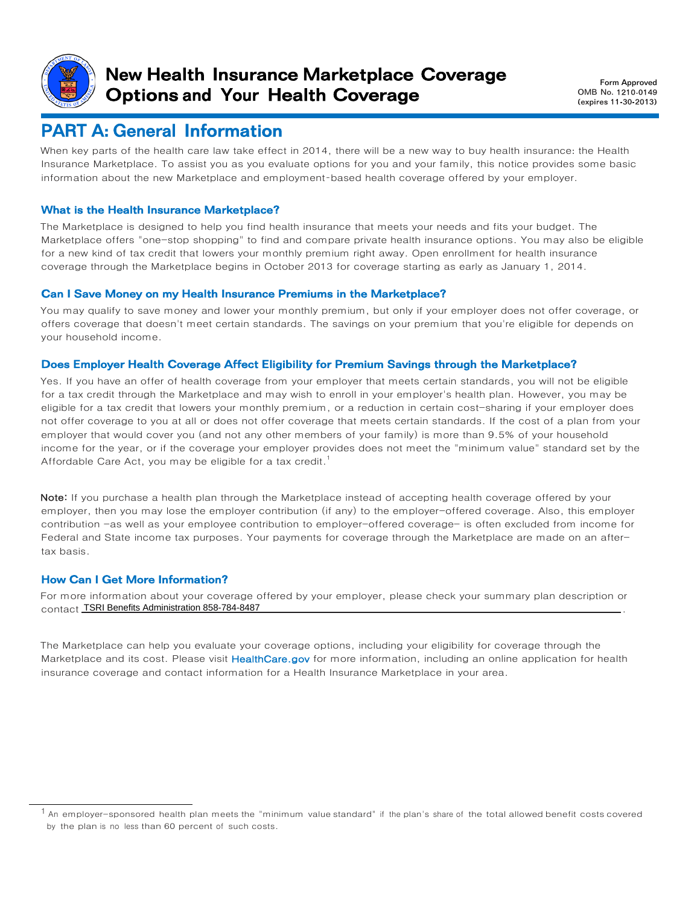

### New Health Insurance Marketplace Coverage Options and Your Health Coverage

 Form Approved OMB No. 1210-0149 (expires 11-30-2013)

## PART A: General Information

When key parts of the health care law take effect in 2014, there will be a new way to buy health insurance: the Health Insurance Marketplace. To assist you as you evaluate options for you and your family, this notice provides some basic information about the new Marketplace and employment-based health coverage offered by your employer.

### What is the Health Insurance Marketplace?

The Marketplace is designed to help you find health insurance that meets your needs and fits your budget. The Marketplace offers "one-stop shopping" to find and compare private health insurance options. You may also be eligible for a new kind of tax credit that lowers your monthly premium right away. Open enrollment for health insurance coverage through the Marketplace begins in October 2013 for coverage starting as early as January 1, 2014.

#### Can I Save Money on my Health Insurance Premiums in the Marketplace?

You may qualify to save money and lower your monthly premium, but only if your employer does not offer coverage, or offers coverage that doesn't meet certain standards. The savings on your premium that you're eligible for depends on your household income.

#### Does Employer Health Coverage Affect Eligibility for Premium Savings through the Marketplace?

Yes. If you have an offer of health coverage from your employer that meets certain standards, you will not be eligible for a tax credit through the Marketplace and may wish to enroll in your employer's health plan. However, you may be eligible for a tax credit that lowers your monthly premium, or a reduction in certain cost-sharing if your employer does not offer coverage to you at all or does not offer coverage that meets certain standards. If the cost of a plan from your employer that would cover you (and not any other members of your family) is more than 9.5% of your household income for the year, or if the coverage your employer provides does not meet the "minimum value" standard set by the Affordable Care Act, you may be eligible for a tax credit.<sup>1</sup>

Note: If you purchase a health plan through the Marketplace instead of accepting health coverage offered by your employer, then you may lose the employer contribution (if any) to the employer-offered coverage. Also, this employer contribution -as well as your employee contribution to employer-offered coverage- is often excluded from income for Federal and State income tax purposes. Your payments for coverage through the Marketplace are made on an aftertax basis.

#### How Can I Get More Information?

For more information about your coverage offered by your employer, please check your summary plan description or contact . TSRI Benefits Administration 858-784-8487

The Marketplace can help you evaluate your coverage options, including your eligibility for coverage through the Marketplace and its cost. Please visit HealthCare.gov for more information, including an online application for health insurance coverage and contact information for a Health Insurance Marketplace in your area.

 $^{\text{1}}$  An employer-sponsored health plan meets the "minimum value standard" if the plan's share of the total allowed benefit costs covered by the plan is no less than 60 percent of such costs.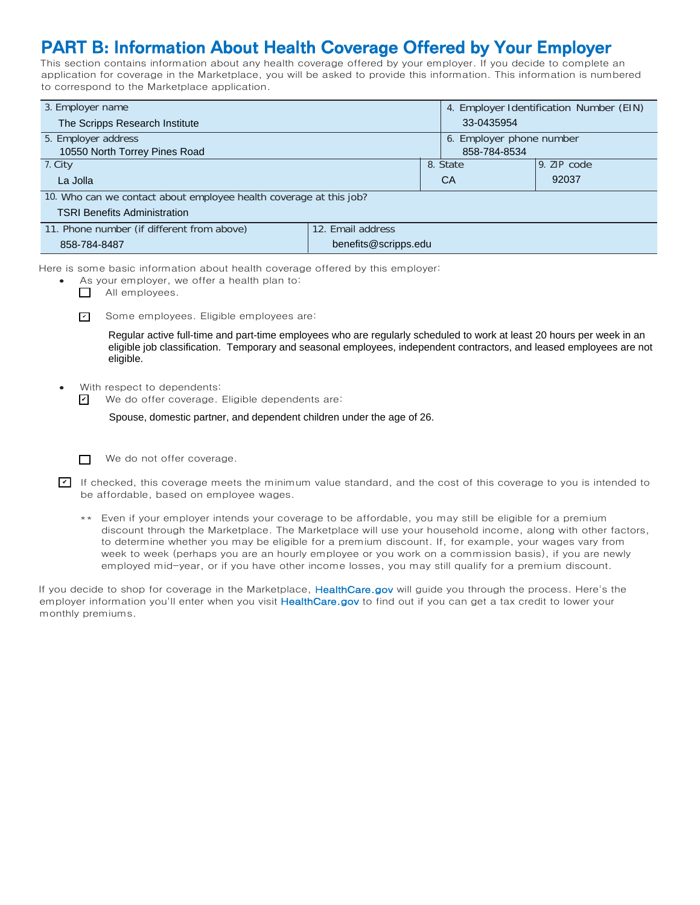# PART B: Information About Health Coverage Offered by Your Employer

This section contains information about any health coverage offered by your employer. If you decide to complete an application for coverage in the Marketplace, you will be asked to provide this information. This information is numbered to correspond to the Marketplace application.

| 3. Employer name                                                   |                      | 4. Employer Identification Number (EIN) |                          |             |
|--------------------------------------------------------------------|----------------------|-----------------------------------------|--------------------------|-------------|
| The Scripps Research Institute                                     |                      | 33-0435954                              |                          |             |
| 5. Employer address                                                |                      |                                         | 6. Employer phone number |             |
| 10550 North Torrey Pines Road                                      |                      |                                         | 858-784-8534             |             |
| 7. City                                                            |                      |                                         | 8. State                 | 9. ZIP code |
| La Jolla                                                           |                      | CA                                      |                          | 92037       |
| 10. Who can we contact about employee health coverage at this job? |                      |                                         |                          |             |
| <b>TSRI Benefits Administration</b>                                |                      |                                         |                          |             |
| 11. Phone number (if different from above)                         | 12. Email address    |                                         |                          |             |
| 858-784-8487                                                       | benefits@scripps.edu |                                         |                          |             |

Here is some basic information about health coverage offered by this employer:

- As your employer, we offer a health plan to:
	- All employees.
	- Some employees. Eligible employees are: ✔

Regular active full-time and part-time employees who are regularly scheduled to work at least 20 hours per week in an eligible job classification. Temporary and seasonal employees, independent contractors, and leased employees are not eligible.

With respect to dependents:

We do offer coverage. Eligible dependents are:

Spouse, domestic partner, and dependent children under the age of 26.

 $\Box$ 

✔

We do not offer coverage.

If checked, this coverage meets the minimum value standard, and the cost of this coverage to you is intended to be affordable, based on employee wages.

\*\* Even if your employer intends your coverage to be affordable, you may still be eligible for a premium discount through the Marketplace. The Marketplace will use your household income, along with other factors, to determine whether you may be eligible for a premium discount. If, for example, your wages vary from week to week (perhaps you are an hourly employee or you work on a commission basis), if you are newly employed mid-year, or if you have other income losses, you may still qualify for a premium discount.

If you decide to shop for coverage in the Marketplace, HealthCare.gov will guide you through the process. Here's the employer information you'll enter when you visit HealthCare.gov to find out if you can get a tax credit to lower your monthly premiums.